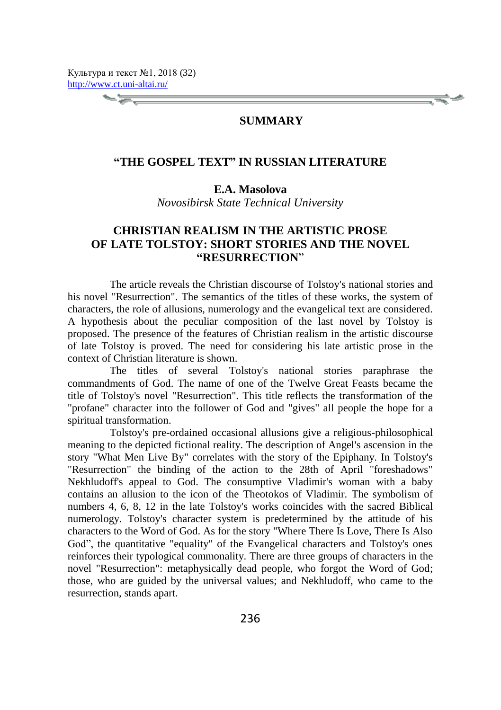#### **SUMMARY**

### **"THE GOSPEL TEXT" IN RUSSIAN LITERATURE**

### **E.A. Masolova**

*Novosibirsk State Technical University*

# **CHRISTIAN REALISM IN THE ARTISTIC PROSE OF LATE TOLSTOY: SHORT STORIES AND THE NOVEL ["RESURRECTION](http://www.lingvo-online.ru/ru/Search/Translate/GlossaryItemExtraInfo?text=%d0%b2%d0%be%d1%81%d0%ba%d1%80%d0%b5%d1%81%d0%b5%d0%bd%d0%b8%d0%b5&translation=resurrection&srcLang=ru&destLang=en)**"

The article reveals the Christian discourse of Tolstoy's national stories and his novel "Resurrection". The semantics of the titles of these works, the system of characters, the role of allusions, numerology and the evangelical text are considered. A hypothesis about the peculiar composition of the last novel by Tolstoy is proposed. The presence of the features of Christian realism in the artistic discourse of late Tolstoy is proved. The need for considering his late artistic prose in the context of Christian literature is shown.

The titles of several Tolstoy's national stories paraphrase the commandments of God. The name of one of the Twelve Great Feasts became the title of Tolstoy's novel "Resurrection". This title reflects the transformation of the "profane" character into the follower of God and "gives" all people the hope for a spiritual transformation.

Tolstoy's pre-ordained occasional allusions give a religious-philosophical meaning to the depicted fictional reality. The description of Angel's ascension in the story "[What Men Live By"](https://en.wikisource.org/wiki/What_Men_Live_By) correlates with the story of the Epiphany. In Tolstoy's "Resurrection" the binding of the action to the 28th of April "foreshadows" Nekhludoff's appeal to God. The consumptive Vladimir's woman with a baby contains an allusion to the icon of the Theotokos of Vladimir. The symbolism of numbers 4, 6, 8, 12 in the late Tolstoy's works coincides with the sacred Biblical numerology. Tolstoy's character system is predetermined by the attitude of his characters to the Word of God. As for the story "[Where There Is Love, There Is Also](https://en.wikisource.org/wiki/Where_Love_is,_There_God_is_Also) God", the quantitative "equality" of the Evangelical characters and Tolstoy's ones reinforces their typological commonality. There are three groups of characters in the novel "Resurrection": metaphysically dead people, who forgot the Word of God; those, who are guided by the universal values; and Nekhludoff, who came to the resurrection, stands apart.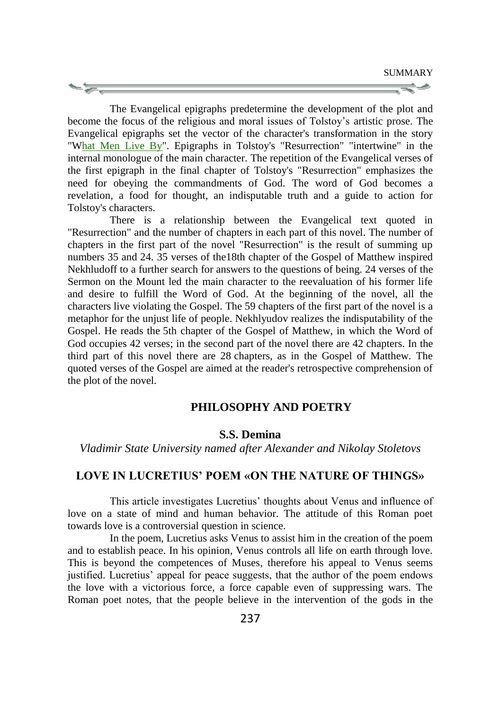The Evangelical epigraphs predetermine the development of the plot and become the focus of the religious and moral issues of Tolstoy's artistic prose. The Evangelical epigraphs set the vector of the character's transformation in the story "[What Men Live By"](https://en.wikisource.org/wiki/What_Men_Live_By). Epigraphs in Tolstoy's "Resurrection" "intertwine" in the internal monologue of the main character. The repetition of the Evangelical verses of the first epigraph in the final chapter of Tolstoy's "Resurrection" emphasizes the need for obeying the commandments of God. The word of God becomes a revelation, a food for thought, an indisputable truth and a guide to action for Tolstoy's characters.

There is a relationship between the Evangelical text quoted in "Resurrection" and the number of chapters in each part of this novel. The number of chapters in the first part of the novel "Resurrection" is the result of summing up numbers 35 and 24. 35 verses of the18th chapter of the Gospel of Matthew inspired Nekhludoff to a further search for answers to the questions of being. 24 verses of the Sermon on the Mount led the main character to the reevaluation of his former life and desire to fulfill the Word of God. At the beginning of the novel, all the characters live violating the Gospel. The 59 chapters of the first part of the novel is a metaphor for the unjust life of people. Nekhlyudov realizes the indisputability of the Gospel. He reads the 5th chapter of the Gospel of Matthew, in which the Word of God occupies 42 verses; in the second part of the novel there are 42 chapters. In the third part of this novel there are 28 chapters, as in the Gospel of Matthew. The quoted verses of the Gospel are aimed at the reader's retrospective comprehension of the plot of the novel.

#### **PHILOSOPHY AND POETRY**

# **S.S. Demina**

*Vladimir State University named after Alexander and Nikolay Stoletovs*

#### **LOVE IN LUCRETIUS' POEM «ON THE NATURE OF THINGS»**

This article investigates Lucretius' thoughts about Venus and influence of love on a state of mind and human behavior. The attitude of this Roman poet towards love is a controversial question in science.

In the poem, Lucretius asks Venus to assist him in the creation of the poem and to establish peace. In his opinion, Venus controls all life on earth through love. This is beyond the competences of Muses, therefore his appeal to Venus seems justified. Lucretius' appeal for peace suggests, that the author of the poem endows the love with a victorious force, a force capable even of suppressing wars. The Roman poet notes, that the people believe in the intervention of the gods in the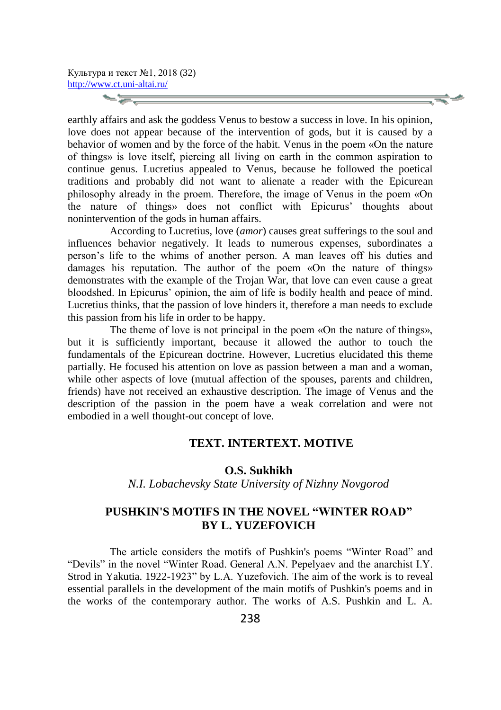**Signal** 

earthly affairs and ask the goddess Venus to bestow a success in love. In his opinion, love does not appear because of the intervention of gods, but it is caused by a behavior of women and by the force of the habit. Venus in the poem «On the nature of things» is love itself, piercing all living on earth in the common aspiration to continue genus. Lucretius appealed to Venus, because he followed the poetical traditions and probably did not want to alienate a reader with the Epicurean philosophy already in the proem. Therefore, the image of Venus in the poem «On the nature of things» does not conflict with Epicurus' thoughts about nonintervention of the gods in human affairs.

According to Lucretius, love (*amor*) causes great sufferings to the soul and influences behavior negatively. It leads to numerous expenses, subordinates a person's life to the whims of another person. A man leaves off his duties and damages his reputation. The author of the poem «On the nature of things» demonstrates with the example of the Trojan War, that love can even cause a great bloodshed. In Epicurus' opinion, the aim of life is bodily health and peace of mind. Lucretius thinks, that the passion of love hinders it, therefore a man needs to exclude this passion from his life in order to be happy.

The theme of love is not principal in the poem «On the nature of things», but it is sufficiently important, because it allowed the author to touch the fundamentals of the Epicurean doctrine. However, Lucretius elucidated this theme partially. He focused his attention on love as passion between a man and a woman, while other aspects of love (mutual affection of the spouses, parents and children, friends) have not received an exhaustive description. The image of Venus and the description of the passion in the poem have a weak correlation and were not embodied in a well thought-out concept of love.

### **TEXT. INTERTEXT. MOTIVE**

#### **O.S. Sukhikh**

*N.I. Lobachevsky State University of Nizhny Novgorod*

# **PUSHKIN'S MOTIFS IN THE NOVEL "WINTER ROAD" BY L. YUZEFOVICH**

The article considers the motifs of Pushkin's poems "Winter Road" and "Devils" in the novel "Winter Road. General A.N. Pepelyaev and the anarchist I.Y. Strod in Yakutia. 1922-1923" by L.A. Yuzefovich. The aim of the work is to reveal essential parallels in the development of the main motifs of Pushkin's poems and in the works of the contemporary author. The works of A.S. Pushkin and L. A.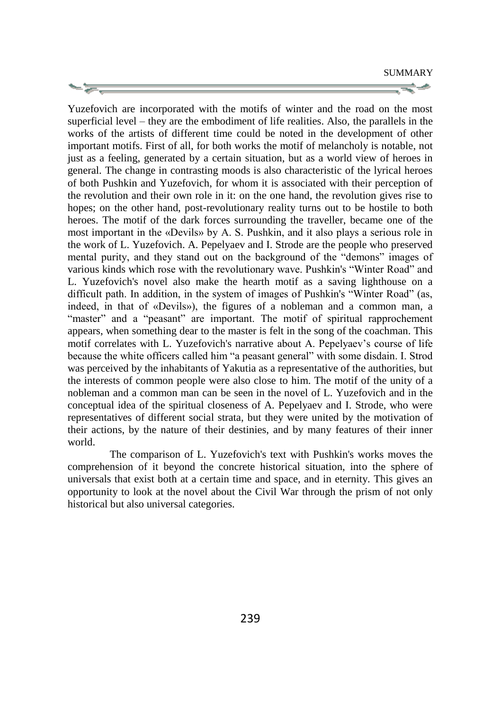Yuzefovich are incorporated with the motifs of winter and the road on the most superficial level – they are the embodiment of life realities. Also, the parallels in the works of the artists of different time could be noted in the development of other important motifs. First of all, for both works the motif of melancholy is notable, not just as a feeling, generated by a certain situation, but as a world view of heroes in general. The change in contrasting moods is also characteristic of the lyrical heroes of both Pushkin and Yuzefovich, for whom it is associated with their perception of the revolution and their own role in it: on the one hand, the revolution gives rise to hopes; on the other hand, post-revolutionary reality turns out to be hostile to both heroes. The motif of the dark forces surrounding the traveller, became one of the most important in the «Devils» by A. S. Pushkin, and it also plays a serious role in the work of L. Yuzefovich. A. Pepelyaev and I. Strode are the people who preserved mental purity, and they stand out on the background of the "demons" images of various kinds which rose with the revolutionary wave. Pushkin's "Winter Road" and L. Yuzefovich's novel also make the hearth motif as a saving lighthouse on a difficult path. In addition, in the system of images of Pushkin's "Winter Road" (as, indeed, in that of «Devils»), the figures of a nobleman and a common man, a "master" and a "peasant" are important. The motif of spiritual rapprochement appears, when something dear to the master is felt in the song of the coachman. This motif correlates with L. Yuzefovich's narrative about A. Pepelyaev's course of life because the white officers called him "a peasant general" with some disdain. I. Strod was perceived by the inhabitants of Yakutia as a representative of the authorities, but the interests of common people were also close to him. The motif of the unity of a nobleman and a common man can be seen in the novel of L. Yuzefovich and in the conceptual idea of the spiritual closeness of A. Pepelyaev and I. Strode, who were representatives of different social strata, but they were united by the motivation of their actions, by the nature of their destinies, and by many features of their inner world.

The comparison of L. Yuzefovich's text with Pushkin's works moves the comprehension of it beyond the concrete historical situation, into the sphere of universals that exist both at a certain time and space, and in eternity. This gives an opportunity to look at the novel about the Civil War through the prism of not only historical but also universal categories.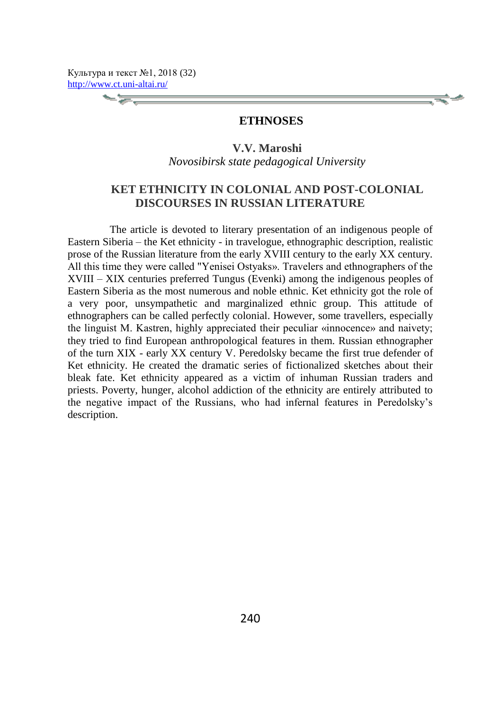# **ETHNOSES**

**V.V. Maroshi** *Novosibirsk state pedagogical University*

# **KET ETHNICITY IN COLONIAL AND POST-COLONIAL DISCOURSES IN RUSSIAN LITERATURE**

The article is devoted to literary presentation of an indigenous people of Eastern Siberia – the Ket ethnicity - in travelogue, ethnographic description, realistic prose of the Russian literature from the early XVIII century to the early XX century. All this time they were called "Yenisei Ostyaks». Travelers and ethnographers of the XVIII – XIX centuries preferred Tungus (Evenki) among the indigenous peoples of Eastern Siberia as the most numerous and noble ethnic. Ket ethnicity got the role of a very poor, unsympathetic and marginalized ethnic group. This attitude of ethnographers can be called perfectly colonial. However, some travellers, especially the linguist M. Kastren, highly appreciated their peculiar «innocence» and naivety; they tried to find European anthropological features in them. Russian ethnographer of the turn XIX - early XX century V. Peredolsky became the first true defender of Ket ethnicity. He created the dramatic series of fictionalized sketches about their bleak fate. Ket ethnicity appeared as a victim of inhuman Russian traders and priests. Poverty, hunger, alcohol addiction of the ethnicity are entirely attributed to the negative impact of the Russians, who had infernal features in Peredolsky's description.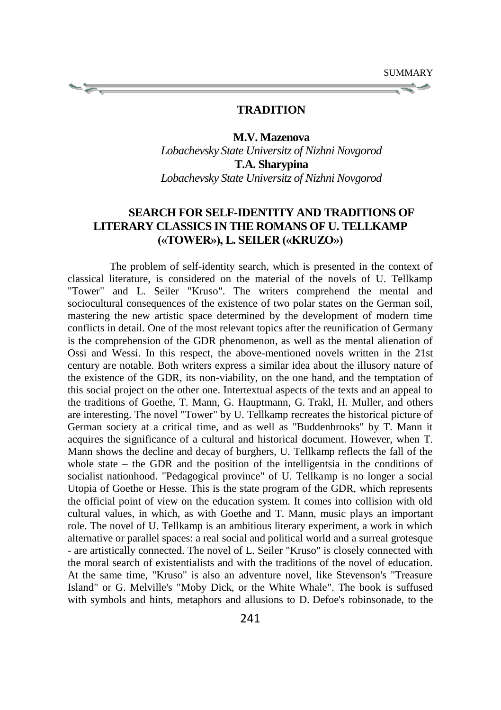### **TRADITION**

#### **M.V. Mazenova**

*Lobachevsky State Universitz of Nizhni Novgorod* **T.A. Sharypina** *Lobachevsky State Universitz of Nizhni Novgorod*

# **SEARCH FOR SELF-IDENTITY AND TRADITIONS OF LITERARY CLASSICS IN THE ROMANS OF U. TELLKAMP («TOWER»), L. SEILER («KRUZO»)**

The problem of self-identity search, which is presented in the context of classical literature, is considered on the material of the novels of U. Tellkamp "Tower" and L. Seiler "Kruso". The writers comprehend the mental and sociocultural consequences of the existence of two polar states on the German soil, mastering the new artistic space determined by the development of modern time conflicts in detail. One of the most relevant topics after the reunification of Germany is the comprehension of the GDR phenomenon, as well as the mental alienation of Ossi and Wessi. In this respect, the above-mentioned novels written in the 21st century are notable. Both writers express a similar idea about the illusory nature of the existence of the GDR, its non-viability, on the one hand, and the temptation of this social project on the other one. Intertextual aspects of the texts and an appeal to the traditions of Goethe, T. Mann, G. Hauptmann, G. Trakl, H. Muller, and others are interesting. The novel "Tower" by U. Tellkamp recreates the historical picture of German society at a critical time, and as well as "Buddenbrooks" by T. Mann it acquires the significance of a cultural and historical document. However, when T. Mann shows the decline and decay of burghers, U. Tellkamp reflects the fall of the whole state – the GDR and the position of the intelligentsia in the conditions of socialist nationhood. "Pedagogical province" of U. Tellkamp is no longer a social Utopia of Goethe or Hesse. This is the state program of the GDR, which represents the official point of view on the education system. It comes into collision with old cultural values, in which, as with Goethe and T. Mann, music plays an important role. The novel of U. Tellkamp is an ambitious literary experiment, a work in which alternative or parallel spaces: a real social and political world and a surreal grotesque - are artistically connected. The novel of L. Seiler "Kruso" is closely connected with the moral search of existentialists and with the traditions of the novel of education. At the same time, "Kruso" is also an adventure novel, like Stevenson's "Treasure Island" or G. Melville's "Moby Dick, or the White Whale". The book is suffused with symbols and hints, metaphors and allusions to D. Defoe's robinsonade, to the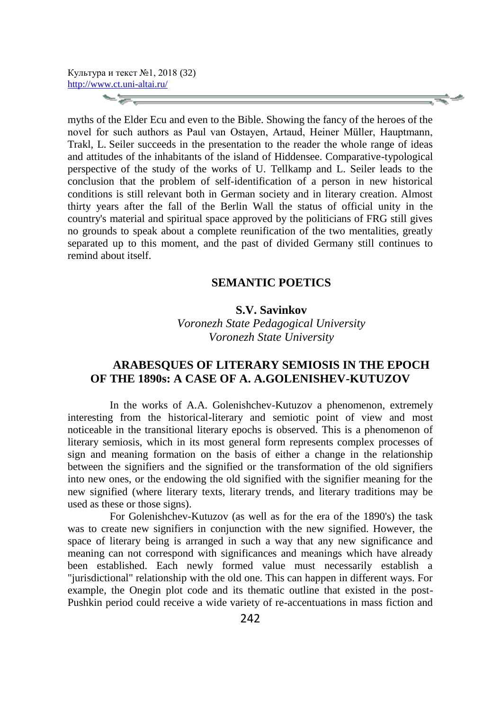$\sim$   $\geq$  .

myths of the Elder Ecu and even to the Bible. Showing the fancy of the heroes of the novel for such authors as Paul van Ostayen, Artaud, Heiner Müller, Hauptmann, Trakl, L. Seiler succeeds in the presentation to the reader the whole range of ideas and attitudes of the inhabitants of the island of Hiddensee. Comparative-typological perspective of the study of the works of U. Tellkamp and L. Seiler leads to the conclusion that the problem of self-identification of a person in new historical conditions is still relevant both in German society and in literary creation. Almost thirty years after the fall of the Berlin Wall the status of official unity in the country's material and spiritual space approved by the politicians of FRG still gives no grounds to speak about a complete reunification of the two mentalities, greatly separated up to this moment, and the past of divided Germany still continues to remind about itself.

### **SEMANTIC POETICS**

# **S.V. Savinkov**

*Voronezh State Pedagogical University Voronezh State University* 

# **ARABESQUES OF LITERARY SEMIOSIS IN THE EPOCH OF THE 1890s: A CASE OF A. A.GOLENISHEV-KUTUZOV**

In the works of A.A. Golenishchev-Kutuzov a phenomenon, extremely interesting from the historical-literary and semiotic point of view and most noticeable in the transitional literary epochs is observed. This is a phenomenon of literary semiosis, which in its most general form represents complex processes of sign and meaning formation on the basis of either a change in the relationship between the signifiers and the signified or the transformation of the old signifiers into new ones, or the endowing the old signified with the signifier meaning for the new signified (where literary texts, literary trends, and literary traditions may be used as these or those signs).

For Golenishchev-Kutuzov (as well as for the era of the 1890's) the task was to create new signifiers in conjunction with the new signified. However, the space of literary being is arranged in such a way that any new significance and meaning can not correspond with significances and meanings which have already been established. Each newly formed value must necessarily establish a "jurisdictional" relationship with the old one. This can happen in different ways. For example, the Onegin plot code and its thematic outline that existed in the post-Pushkin period could receive a wide variety of re-accentuations in mass fiction and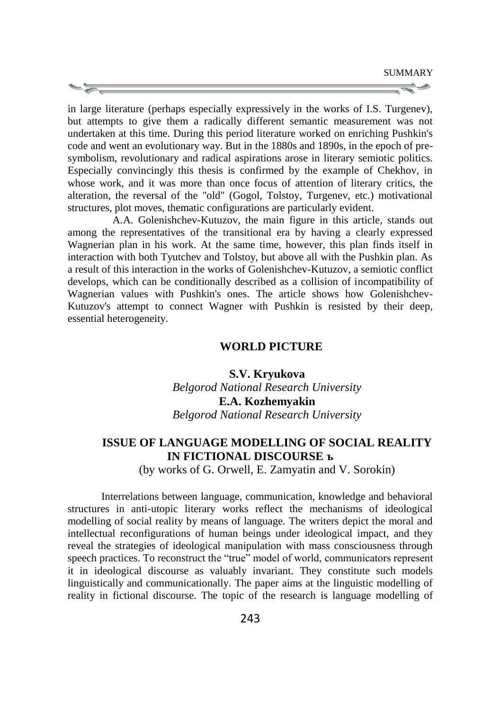in large literature (perhaps especially expressively in the works of I.S. Turgenev), but attempts to give them a radically different semantic measurement was not undertaken at this time. During this period literature worked on enriching Pushkin's code and went an evolutionary way. But in the 1880s and 1890s, in the epoch of presymbolism, revolutionary and radical aspirations arose in literary semiotic politics. Especially convincingly this thesis is confirmed by the example of Chekhov, in whose work, and it was more than once focus of attention of literary critics, the alteration, the reversal of the "old" (Gogol, Tolstoy, Turgenev, etc.) motivational structures, plot moves, thematic configurations are particularly evident.

A.A. Golenishchev-Kutuzov, the main figure in this article, stands out among the representatives of the transitional era by having a clearly expressed Wagnerian plan in his work. At the same time, however, this plan finds itself in interaction with both Tyutchev and Tolstoy, but above all with the Pushkin plan. As a result of this interaction in the works of Golenishchev-Kutuzov, a semiotic conflict develops, which can be conditionally described as a collision of incompatibility of Wagnerian values with Pushkin's ones. The article shows how Golenishchev-Kutuzov's attempt to connect Wagner with Pushkin is resisted by their deep, essential heterogeneity.

#### **WORLD PICTURE**

# **S.V. Kryukova** *Belgorod National Research University* **E.A. Kozhemyakin** *Belgorod National Research University*

# **ISSUE OF LANGUAGE MODELLING OF SOCIAL REALITY IN FICTIONAL DISCOURSE ъ**

(by works of G. Orwell, E. Zamyatin and V. Sorokin)

Interrelations between language, communication, knowledge and behavioral structures in anti-utopic literary works reflect the mechanisms of ideological modelling of social reality by means of language. The writers depict the moral and intellectual reconfigurations of human beings under ideological impact, and they reveal the strategies of ideological manipulation with mass consciousness through speech practices. To reconstruct the "true" model of world, communicators represent it in ideological discourse as valuably invariant. They constitute such models linguistically and communicationally. The paper aims at the linguistic modelling of reality in fictional discourse. The topic of the research is language modelling of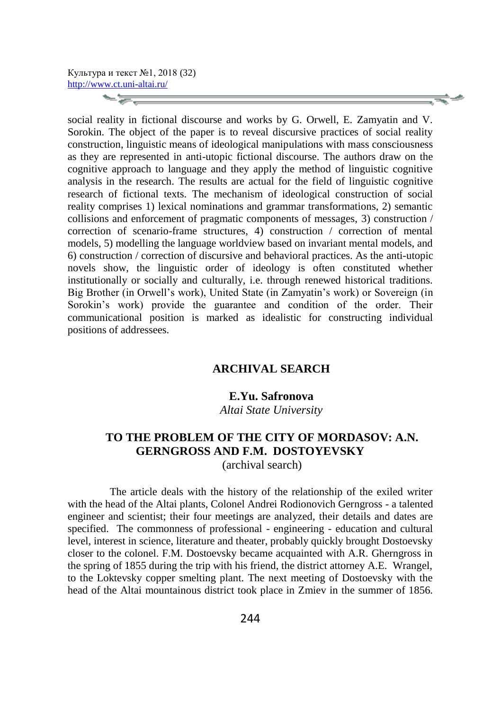**Signal** 

social reality in fictional discourse and works by G. Orwell, E. Zamyatin and V. Sorokin. The object of the paper is to reveal discursive practices of social reality construction, linguistic means of ideological manipulations with mass consciousness as they are represented in anti-utopic fictional discourse. The authors draw on the cognitive approach to language and they apply the method of linguistic cognitive analysis in the research. The results are actual for the field of linguistic cognitive research of fictional texts. The mechanism of ideological construction of social reality comprises 1) lexical nominations and grammar transformations, 2) semantic collisions and enforcement of pragmatic components of messages, 3) construction / correction of scenario-frame structures, 4) construction / correction of mental models, 5) modelling the language worldview based on invariant mental models, and 6) construction / correction of discursive and behavioral practices. As the anti-utopic novels show, the linguistic order of ideology is often constituted whether institutionally or socially and culturally, i.e. through renewed historical traditions. Big Brother (in Orwell's work), United State (in Zamyatin's work) or Sovereign (in Sorokin's work) provide the guarantee and condition of the order. Their communicational position is marked as idealistic for constructing individual positions of addressees.

# **ARCHIVAL SEARCH**

### **E.Yu. Safronova**

*Altai State University*

# **TO THE PROBLEM OF THE CITY OF MORDASOV: A.N. GERNGROSS AND F.M. DOSTOYEVSKY**

(archival search)

The article deals with the history of the relationship of the exiled writer with the head of the Altai plants, Colonel Andrei Rodionovich Gerngross - a talented engineer and scientist; their four meetings are analyzed, their details and dates are specified. The commonness of professional - engineering - education and cultural level, interest in science, literature and theater, probably quickly brought Dostoevsky closer to the colonel. F.M. Dostoevsky became acquainted with A.R. Gherngross in the spring of 1855 during the trip with his friend, the district attorney A.E. Wrangel, to the Loktevsky copper smelting plant. The next meeting of Dostoevsky with the head of the Altai mountainous district took place in Zmiev in the summer of 1856.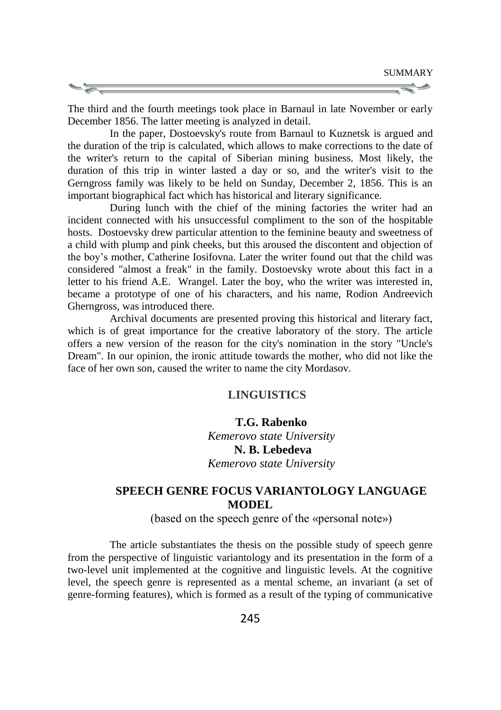The third and the fourth meetings took place in Barnaul in late November or early December 1856. The latter meeting is analyzed in detail.

In the paper, Dostoevsky's route from Barnaul to Kuznetsk is argued and the duration of the trip is calculated, which allows to make corrections to the date of the writer's return to the capital of Siberian mining business. Most likely, the duration of this trip in winter lasted a day or so, and the writer's visit to the Gerngross family was likely to be held on Sunday, December 2, 1856. This is an important biographical fact which has historical and literary significance.

During lunch with the chief of the mining factories the writer had an incident connected with his unsuccessful compliment to the son of the hospitable hosts. Dostoevsky drew particular attention to the feminine beauty and sweetness of a child with plump and pink cheeks, but this aroused the discontent and objection of the boy's mother, Catherine Iosifovna. Later the writer found out that the child was considered "almost a freak" in the family. Dostoevsky wrote about this fact in a letter to his friend A.E. Wrangel. Later the boy, who the writer was interested in, became a prototype of one of his characters, and his name, Rodion Andreevich Gherngross, was introduced there.

Archival documents are presented proving this historical and literary fact, which is of great importance for the creative laboratory of the story. The article offers a new version of the reason for the city's nomination in the story "Uncle's Dream". In our opinion, the ironic attitude towards the mother, who did not like the face of her own son, caused the writer to name the city Mordasov.

#### **LINGUISTICS**

#### **T.G. Rabenko**

*Kemerovo state University* **N. B. Lebedeva** *Kemerovo state University* 

# **SPEECH GENRE FOCUS VARIANTOLOGY LANGUAGE MODEL**

(based on the speech genre of the «personal note»)

The article substantiates the thesis on the possible study of speech genre from the perspective of linguistic variantology and its presentation in the form of a two-level unit implemented at the cognitive and linguistic levels. At the cognitive level, the speech genre is represented as a mental scheme, an invariant (a set of genre-forming features), which is formed as a result of the typing of communicative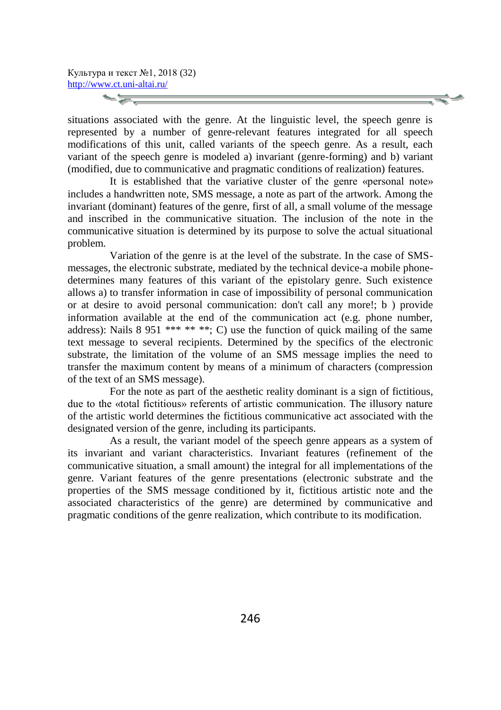situations associated with the genre. At the linguistic level, the speech genre is represented by a number of genre-relevant features integrated for all speech modifications of this unit, called variants of the speech genre. As a result, each variant of the speech genre is modeled a) invariant (genre-forming) and b) variant (modified, due to communicative and pragmatic conditions of realization) features.

It is established that the variative cluster of the genre «personal note» includes a handwritten note, SMS message, a note as part of the artwork. Among the invariant (dominant) features of the genre, first of all, a small volume of the message and inscribed in the communicative situation. The inclusion of the note in the communicative situation is determined by its purpose to solve the actual situational problem.

Variation of the genre is at the level of the substrate. In the case of SMSmessages, the electronic substrate, mediated by the technical device-a mobile phonedetermines many features of this variant of the epistolary genre. Such existence allows a) to transfer information in case of impossibility of personal communication or at desire to avoid personal communication: don't call any more!; b ) provide information available at the end of the communication act (e.g. phone number, address): Nails  $8\,951$  \*\*\* \*\* \*\*; C) use the function of quick mailing of the same text message to several recipients. Determined by the specifics of the electronic substrate, the limitation of the volume of an SMS message implies the need to transfer the maximum content by means of a minimum of characters (compression of the text of an SMS message).

For the note as part of the aesthetic reality dominant is a sign of fictitious, due to the «total fictitious» referents of artistic communication. The illusory nature of the artistic world determines the fictitious communicative act associated with the designated version of the genre, including its participants.

As a result, the variant model of the speech genre appears as a system of its invariant and variant characteristics. Invariant features (refinement of the communicative situation, a small amount) the integral for all implementations of the genre. Variant features of the genre presentations (electronic substrate and the properties of the SMS message conditioned by it, fictitious artistic note and the associated characteristics of the genre) are determined by communicative and pragmatic conditions of the genre realization, which contribute to its modification.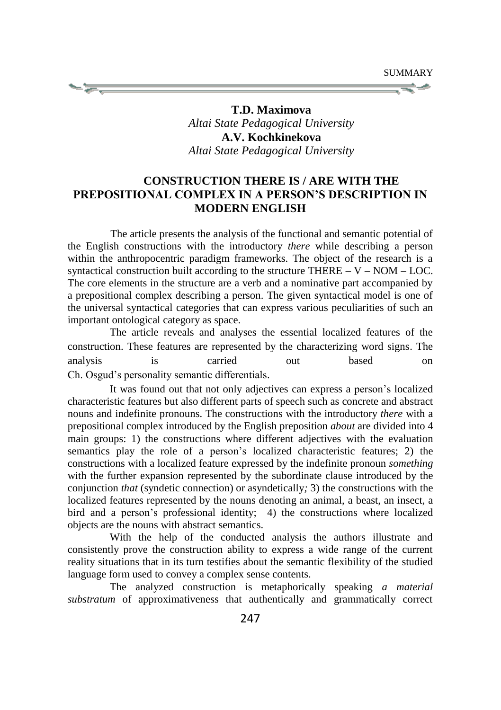

**T.D. Maximova**  *Altai State Pedagogical University* **A.V. Kochkinekova** *Altai State Pedagogical University*

# **CONSTRUCTION THERE IS / ARE WITH THE PREPOSITIONAL COMPLEX IN A PERSON'S DESCRIPTION IN MODERN ENGLISH**

The article presents the analysis of the functional and semantic potential of the English constructions with the introductory *there* while describing a person within the anthropocentric paradigm frameworks. The object of the research is a syntactical construction built according to the structure THERE  $- V - NOM - LOC$ . The core elements in the structure are a verb and a nominative part accompanied by a prepositional complex describing a person. The given syntactical model is one of the universal syntactical categories that can express various peculiarities of such an important ontological category as space.

The article reveals and analyses the essential localized features of the construction. These features are represented by the characterizing word signs. The analysis is carried out based on Ch. Osgud's personality semantic differentials.

It was found out that not only adjectives can express a person's localized characteristic features but also different parts of speech such as concrete and abstract nouns and indefinite pronouns. The constructions with the introductory *there* with a prepositional complex introduced by the English preposition *about* are divided into 4 main groups: 1) the constructions where different adjectives with the evaluation semantics play the role of a person's localized characteristic features; 2) the constructions with a localized feature expressed by the indefinite pronoun *something* with the further expansion represented by the subordinate clause introduced by the conjunction *that* (syndetic connection) or asyndetically*;* 3) the constructions with the localized features represented by the nouns denoting an animal, a beast, an insect, a bird and a person's professional identity; 4) the constructions where localized objects are the nouns with abstract semantics.

With the help of the conducted analysis the authors illustrate and consistently prove the construction ability to express a wide range of the current reality situations that in its turn testifies about the semantic flexibility of the studied language form used to convey a complex sense contents.

The analyzed construction is metaphorically speaking *a material substratum* of approximativeness that authentically and grammatically correct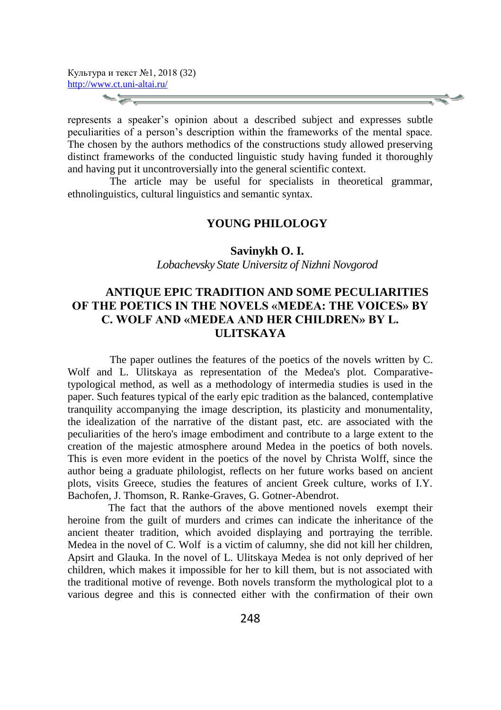represents a speaker's opinion about a described subject and expresses subtle peculiarities of a person's description within the frameworks of the mental space. The chosen by the authors methodics of the constructions study allowed preserving distinct frameworks of the conducted linguistic study having funded it thoroughly and having put it uncontroversially into the general scientific context.

The article may be useful for specialists in theoretical grammar, ethnolinguistics, cultural linguistics and semantic syntax.

### **YOUNG PHILOLOGY**

**Savinykh O. I.**

*Lobachevsky State Universitz of Nizhni Novgorod*

# **ANTIQUE EPIC TRADITION AND SOME PECULIARITIES OF THE POETICS IN THE NOVELS «MEDEA: THE VOICES» BY C. WOLF AND «MEDEA AND HER CHILDREN» BY L. ULITSKAYA**

The paper outlines the features of the poetics of the novels written by C. Wolf and L. Ulitskaya as representation of the Medea's plot. Comparativetypological method, as well as a methodology of intermedia studies is used in the paper. Such features typical of the early epic tradition as the balanced, contemplative tranquility accompanying the image description, its plasticity and monumentality, the idealization of the narrative of the distant past, etc. are associated with the peculiarities of the hero's image embodiment and contribute to a large extent to the creation of the majestic atmosphere around Medea in the poetics of both novels. This is even more evident in the poetics of the novel by Christa Wolff, since the author being a graduate philologist, reflects on her future works based on ancient plots, visits Greece, studies the features of ancient Greek culture, works of I.Y. Bachofen, J. Thomson, R. Ranke-Graves, G. Gotner-Abendrot.

The fact that the authors of the above mentioned novels exempt their heroine from the guilt of murders and crimes can indicate the inheritance of the ancient theater tradition, which avoided displaying and portraying the terrible. Medea in the novel of C. Wolf is a victim of calumny, she did not kill her children, Apsirt and Glauka. In the novel of L. Ulitskaya Medea is not only deprived of her children, which makes it impossible for her to kill them, but is not associated with the traditional motive of revenge. Both novels transform the mythological plot to a various degree and this is connected either with the confirmation of their own